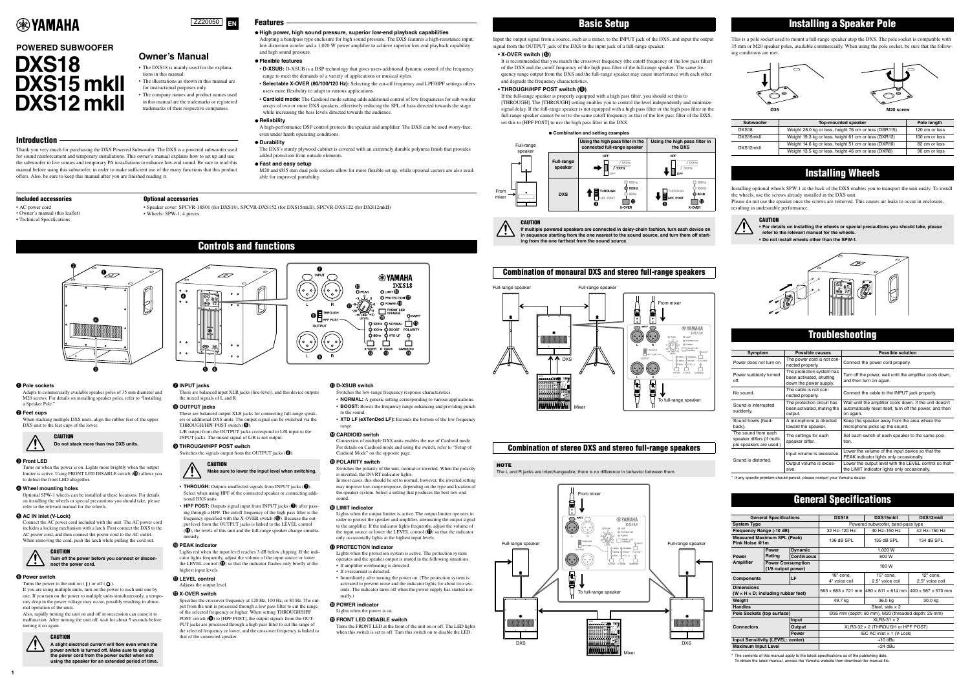**1**

Thank you very much for purchasing the DXS Powered Subwoofer. The DXS is a powered subwoofer used for sound reinforcement and temporary installations. This owner's manual explains how to set up and use the subwoofer in live venues and temporary PA installations to enhance low-end sound. Be sure to read this manual before using this subwoofer, in order to make sufficient use of the many functions that this product offers. Also, be sure to keep this manual after you are finished reading it.

# Features

# **High power, high sound pressure, superior low-end playback capabilities**

Adopting a bandpass type enclusure for high sound pressure. The DXS features a high-resistance input, low distortion woofer and a 1,020 W power amplifier to achieve superior low-end playback capability and high sound pressure.

## **Flexible features**

- **D-XSUB:** D-XSUB is a DSP technology that gives users additional dynamic control of the frequency range to meet the demands of a variety of applications or musical styles.
- **Selectable X-OVER (80/100/120 Hz):** Selecting the cut-off frequency and LPF/HPF settings offers users more flexibility to adapt to various applications.
- **Cardioid mode:** The Cardioid mode setting adds additional control of low frequencies for sub-woofer arrays of two or more DXS speakers, effectively reducing the SPL of bass directed towards the stage while increasing the bass levels directed towards the audience.

### **Reliability**

A high-performance DSP control protects the speaker and amplifier. The DXS can be used worry-free, even under harsh operating conditions.

# **Durability**

The DXS's sturdy plywood cabinet is covered with an extremely durable polyurea finish that provides added protection from outside elements.

## **Fast and easy setup**

M20 and Ø35 mm dual pole sockets allow for more flexible set up, while optional casters are also available for improved portability.

# **EXAMAHA**

# **DXS18 DXS15 mkll DXS12 mkll POWERED SUBWOOFER**



# **Owner's Manual**

- The DXS18 is mainly used for the explanations in this manual.
- The illustrations as shown in this manual are for instructional purposes only.
- The company names and product names used in this manual are the trademarks or registered trademarks of their respective companies.

# **Introduction**

Input the output signal from a source, such as a mixer, to the INPUT jack of the DXS, and input the output signal from the OUTPUT jack of the DXS to the input jack of a full-range speaker.

# **• X-OVER switch (**!2**)**

It is recommended that you match the crossover frequency (the cutoff frequency of the low pass filter) of the DXS and the cutoff frequency of the high pass filter of the full-range speaker. The same frequency range output from the DXS and the full-range speaker may cause interference with each other and degrade the frequency characteristics.

# • THROUGH/HPF POST switch (<sup>O</sup>)

If the full-range speaker is properly equipped with a high pass filter, you should set this to [THROUGH]. The [THROUGH] setting enables you to control the level independently and minimize signal delay. If the full-range speaker is not equipped with a high pass filter or the high pass filter in the full-range speaker cannot be set to the same cutoff frequency as that of the low pass filter of the DXS, set this to [HPF POST] to use the high pass filter in the DXS.

<span id="page-0-0"></span>This is a pole socket used to mount a full-range speaker atop the DXS. The pole socket is compatible with 35 mm or M20 speaker poles, available commercially. When using the pole socket, be sure that the following conditions are met.

Installing optional wheels SPW-1 at the back of the DXS enables you to transport the unit easily. To install the wheels, use the screws already installed in the DXS unit.

Please do not use the speaker once the screws are removed. This causes air leaks to occur in enclosure, resulting in undesirable performance.

Adapts to commercially available speaker poles of 35 mm diameter and M20 screws. For details on installing speaker poles, refer to ["Installing](#page-0-0)  [a Speaker Pole](#page-0-0).'

# **@** Feet cups

\* If any specific problem should persist, please contact your Yamaha dealer.

\* The contents of this manual apply to the latest specifications as of the publishing date. To obtain the latest manual, access the Yamaha website then download the manual file.

# Basic Setup

**If multiple powered speakers are connected in daisy-chain fashion, turn each device on in sequence starting from the one nearest to the sound source, and turn them off starting from the one farthest from the sound source.**

# Combination of monaural DXS and stereo full-range speakers

# Combination of stereo DXS and stereo full-range speakers



The L and R jacks are interchangeable; there is no difference in behavior between them.

# **Combination and setting examples**

# **CAUTION**







• **THROUGH:** Outputs unaffected signals from INPUT jacks ( $\bullet$ ). Select when using HPF of the connected speaker or connecting addi-

• **HPF POST:** Outputs signal input from INPUT jacks ( $\bullet$ ) after passing through a HPF. The cutoff frequency of the high pass filter is the equency specified with the X-OVER switch  $(\circled{2})$ . Because the output level from the OUTPUT jacks is linked to the LEVEL control  $(\mathbf{\textcircled{\textbf{1}}})$ , the levels of this unit and the full-range speaker change simulta-



# Installing a Speaker Pole

Lights red when the input level reaches 3 dB below clipping. If the indicator lights frequently, adjust the volume of the input source or lower the LEVEL control  $(\mathbf{1})$  so that the indicator flashes only briefly at the

| <b>Subwoofer</b>  | <b>Top-mounted speaker</b>                            | Pole length    |
|-------------------|-------------------------------------------------------|----------------|
| DXS <sub>18</sub> | Weight 28.0 kg or less, height 76 cm or less (DSR115) | 120 cm or less |
| DXS15mkll         | Weight 19.3 kg or less, height 61 cm or less (DXR12)  | 100 cm or less |
| DXS12mkII         | Weight 14.6 kg or less, height 51 cm or less (DXR10)  | 82 cm or less  |
|                   | Weight 13.5 kg or less, height 46 cm or less (DXR8)   | 90 cm or less  |

highest input levels.  $0$  LEVEL control

# Installing Wheels



**• For details on installing the wheels or special precautions you should take, please refer to the relevant manual for the wheels.**

**• Do not install wheels other than the SPW-1.**



# **Troubleshooting**

| Symptom                                                                                                                  | Possible causes                                                                 | <b>Possible solution</b>                                                                                                          |  |  |
|--------------------------------------------------------------------------------------------------------------------------|---------------------------------------------------------------------------------|-----------------------------------------------------------------------------------------------------------------------------------|--|--|
| Power does not turn on.                                                                                                  | The power cord is not con-<br>nected properly.                                  | Connect the power cord properly.                                                                                                  |  |  |
| Power suddenly turned<br>off.                                                                                            | The protection system has<br>been activated, shutting<br>down the power supply. | Turn off the power, wait until the amplifier cools down,<br>and then turn on again.                                               |  |  |
| No sound.                                                                                                                | The cable is not con-<br>nected properly.                                       | Connect the cable to the INPUT jack properly.                                                                                     |  |  |
| Sound is interrupted<br>suddenly.                                                                                        | The protection circuit has<br>been activated, muting the<br>output.             | Wait until the amplifier cools down. If the unit doesn't<br>automatically reset itself, turn off the power, and then<br>on again. |  |  |
| Sound howls (feed-<br>back).                                                                                             | A microphone is directed<br>toward the speaker.                                 | Keep the speaker away from the area where the<br>microphone picks up the sound.                                                   |  |  |
| The sound from each<br>The settings for each<br>speaker differs (if multi-<br>speaker differ.<br>ple speakers are used.) |                                                                                 | Set each switch of each speaker to the same posi-<br>tion.                                                                        |  |  |
| Sound is distorted.                                                                                                      | Input volume is excessive.                                                      | Lower the volume of the input device so that the<br>PEAK indicator lights only occasionally.                                      |  |  |
|                                                                                                                          | Output volume is exces-<br>sive.                                                | Lower the output level with the LEVEL control so that<br>the LIMIT indicator lights only occasionally.                            |  |  |



• Speaker cover: SPCVR-18S01 (for DXS18), SPCVR-DXS152 (for DXS15mkII), SPCVR-DXS122 (for DXS12mkII) • Wheels: SPW-1; 4 pieces

# General Specifications

| <b>General Specifications</b>                                         |                                                | DXS <sub>18</sub>                 | DXS15mkll                                                                                      | DXS12mkll       |                 |
|-----------------------------------------------------------------------|------------------------------------------------|-----------------------------------|------------------------------------------------------------------------------------------------|-----------------|-----------------|
| <b>System Type</b>                                                    |                                                | Powered subwoofer, band-pass type |                                                                                                |                 |                 |
| Frequency Range (-10 dB)                                              |                                                | 32 Hz-120 Hz                      | 40 Hz-150 Hz                                                                                   | 42 Hz-150 Hz    |                 |
| <b>Measured Maximum SPL (Peak)</b><br>Pink Noise @1m                  |                                                | 136 dB SPL                        | 135 dB SPL                                                                                     | 134 dB SPL      |                 |
|                                                                       | <b>Power</b>                                   | <b>Dynamic</b>                    | 1,020 W                                                                                        |                 |                 |
| <b>Power</b>                                                          | Rating                                         | <b>Continuous</b>                 |                                                                                                | 800 W           |                 |
| <b>Amplifier</b>                                                      | <b>Power Consumption</b><br>(1/8 output power) |                                   | 100 W                                                                                          |                 |                 |
| <b>Components</b>                                                     |                                                | LF                                | 18" cone,                                                                                      | 15" cone.       | $12"$ cone.     |
|                                                                       |                                                |                                   | 4" voice coil                                                                                  | 2.5" voice coil | 2.5" voice coil |
| <b>Dimensions</b><br>$(W \times H \times D)$ ; including rubber feet) |                                                |                                   | $563 \times 683 \times 721$ mm $1480 \times 611 \times 614$ mm $1400 \times 567 \times 570$ mm |                 |                 |
| Weight                                                                |                                                | 49.7 kg                           | 36.0 kg                                                                                        | 30.0 kg         |                 |
| <b>Handles</b>                                                        |                                                |                                   | Steel, side $\times$ 2                                                                         |                 |                 |
| Pole Sockets (top surface)                                            |                                                |                                   | Ø35 mm (depth: 80 mm), M20 (threaded depth: 25 mm)                                             |                 |                 |
| Input<br><b>Connectors</b><br>Output<br>Power                         |                                                | $XLR3-31 \times 2$                |                                                                                                |                 |                 |
|                                                                       |                                                |                                   | $XLR3-32 \times 2$ (THROUGH or HPF POST)                                                       |                 |                 |
|                                                                       |                                                |                                   | IEC AC inlet $\times$ 1 (V-Lock)                                                               |                 |                 |
| <b>Input Sensitivity (LEVEL: center)</b>                              |                                                | $+10$ dBu                         |                                                                                                |                 |                 |
| <b>Maximum Input Level</b>                                            |                                                | $+24$ dBu                         |                                                                                                |                 |                 |

# q **Pole sockets**

When stacking multiple DXS units, align the rubber feet of the upper DXS unit to the feet cups of the lower.



Turns on when the power is on. Lights more brightly when the output limiter is active. Using FRONT LED DISABLE switch ( $\circledP$ ) allows you to defeat the front LED altogether.

### **<sup>4</sup>** Wheel mounting holes

Optional SPW-1 wheels can be installed at these locations. For details on installing the wheels or special precautions you should take, please refer to the relevant manual for the wheels.

### $\bigcirc$  **AC IN inlet (V-Lock)**

Connect the AC power cord included with the unit. The AC power cord includes a locking mechanism with a latch. First connect the DXS to the AC power cord, and then connect the power cord to the AC outlet. When removing the cord, push the latch while pulling the cord out.



If you are using multiple units, turn on the power to each unit one by one. If you turn on the power to multiple units simultaneously, a temporary drop in the power voltage may occur, possibly resulting in abnormal operation of the units.

Also, rapidly turning the unit on and off in succession can cause it to malfunction. After turning the unit off, wait for about 5 seconds before turning it on again.

## **CAUTION**



These are balanced input XLR jacks (line-level), and this device outputs

the mixed signals of L and R.

a a

00 :

 $\circledR$ 

THROUGH/HPF POST switch  $(③)$ 

These are balanced output XLR jacks for connecting full-range speakers or additional DXS units. The output signal can be switched via the

L/R output from the OUTPUT jacks correspond to L/R input to the

INPUT jacks. The mixed signal of L/R is not output.

Switches the signals output from the OUTPUT jacks  $(\bigcirc$ .

o **THROUGH/HPF POST switch**

**CAUTION** 

tional DXS units.

neously. !0**PEAK indicator**

Adjusts the output level.

!2**X-OVER switch**

Specifies the crossover frequency at 120 Hz, 100 Hz, or 80 Hz. The output from the unit is processed through a low pass filter to cut the range of the selected frequency or higher. When setting THROUGH/HPF POST switch  $(\bigcirc)$  to [HPF POST], the output signals from the OUT-PUT jacks are processed through a high pass filter to cut the range of the selected frequency or lower, and the crossover frequency is linked to

that of the connected speaker.

# !3**D-XSUB switch**

- Switches the low-range frequency response characteristics.
- **NORMAL:** A generic setting corresponding to various applications. • **BOOST:** Boosts the frequency range enhancing and providing punch
- to the sound. • **XTD LF (eXTenDed LF):** Extends the bottom of the low frequency
- range.

# !4**CARDIOID switch**

Connection of multiple DXS units enables the use of Cardioid mode. For details on Cardioid mode and using the switch, refer to ["Setup of](#page-1-0)  [Cardioid Mode"](#page-1-0) on the opposite page.

### !5**POLARITY switch**

Switches the polarity of the unit, normal or inverted. When the polarity is inverted, the INVRT indicator lights.

In most cases, this should be set to normal; however, the inverted setting may improve low-range response, depending on the type and location of the speaker system. Select a setting that produces the best low-end sound.

# !6**LIMIT indicator**



Lights when the output limiter is active. The output limiter operates in order to protect the speaker and amplifier, attenuating the output signal to the amplifier. If the indicator lights frequently, adjust the volume of the input source or lower the LEVEL control  $(\mathbf{1})$  so that the indicator only occasionally lights at the highest input levels.

# $\Phi$  **PROTECTION indicator**

- Lights when the protection system is active. The protection system operates and the speaker output is muted in the following situations. • If amplifier overheating is detected.
- If overcurrent is detected.
- Immediately after turning the power on. (The protection system is activated to prevent noise and the indicator lights for about two seconds. The indicator turns off when the power supply has started normally.)

### !8**POWER indicator**

Lights when the power is on.

!9**FRONT LED DISABLE switch**

Turns the FRONT LED at the front of the unit on or off. The LED lights when this switch is set to off. Turn this switch on to disable the LED.

Controls and functions



 $\mathbf 6$ 







# **Do not stack more than two DXS units.**

**CAUTION** 

# $\Theta$  Front LED

CAUTION

**Turn off the power before you connect or disconnect the power cord.**

### $\odot$  **Power switch**

Turns the power to the unit on  $( \cdot )$  or off  $( \cdot )$ .

**A slight electrical current will flow even when the power switch is turned off. Make sure to unplug the power cord from the power outlet when not using the speaker for an extended period of time.** **Make sure to lower the input level when switching.**

# Included accessories

• AC power cord

• Owner's manual (this leaflet) • Technical Specifications

# Optional accessories

*O* INPUT jacks

 $\overset{\circ}{\bullet}$ 

**<sup>O</sup>** OUTPUT jacks